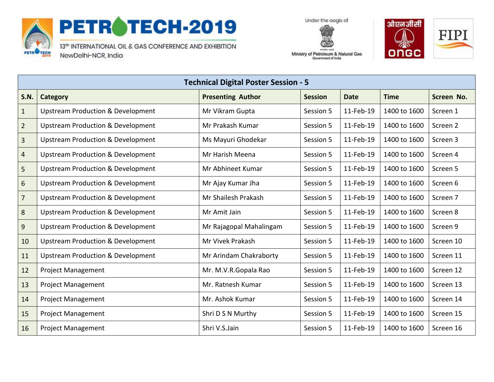

## PETROTECH-2019

13th INTERNATIONAL OIL & GAS CONFERENCE AND EXHIBITION NewDelhi-NCR, India





Ministry of Petroleum & Natural Gas Government of India

| <b>Technical Digital Poster Session - 5</b> |                                              |                          |                |             |              |            |
|---------------------------------------------|----------------------------------------------|--------------------------|----------------|-------------|--------------|------------|
| <b>S.N.</b>                                 | Category                                     | <b>Presenting Author</b> | <b>Session</b> | <b>Date</b> | <b>Time</b>  | Screen No. |
| $1\,$                                       | <b>Upstream Production &amp; Development</b> | Mr Vikram Gupta          | Session 5      | 11-Feb-19   | 1400 to 1600 | Screen 1   |
| $\overline{2}$                              | <b>Upstream Production &amp; Development</b> | Mr Prakash Kumar         | Session 5      | 11-Feb-19   | 1400 to 1600 | Screen 2   |
| $\overline{3}$                              | <b>Upstream Production &amp; Development</b> | Ms Mayuri Ghodekar       | Session 5      | 11-Feb-19   | 1400 to 1600 | Screen 3   |
| $\overline{4}$                              | <b>Upstream Production &amp; Development</b> | Mr Harish Meena          | Session 5      | 11-Feb-19   | 1400 to 1600 | Screen 4   |
| 5                                           | <b>Upstream Production &amp; Development</b> | Mr Abhineet Kumar        | Session 5      | 11-Feb-19   | 1400 to 1600 | Screen 5   |
| 6                                           | <b>Upstream Production &amp; Development</b> | Mr Ajay Kumar Jha        | Session 5      | 11-Feb-19   | 1400 to 1600 | Screen 6   |
| $\overline{7}$                              | <b>Upstream Production &amp; Development</b> | Mr Shailesh Prakash      | Session 5      | 11-Feb-19   | 1400 to 1600 | Screen 7   |
| 8                                           | <b>Upstream Production &amp; Development</b> | Mr Amit Jain             | Session 5      | 11-Feb-19   | 1400 to 1600 | Screen 8   |
| 9                                           | <b>Upstream Production &amp; Development</b> | Mr Rajagopal Mahalingam  | Session 5      | 11-Feb-19   | 1400 to 1600 | Screen 9   |
| 10                                          | <b>Upstream Production &amp; Development</b> | Mr Vivek Prakash         | Session 5      | 11-Feb-19   | 1400 to 1600 | Screen 10  |
| 11                                          | <b>Upstream Production &amp; Development</b> | Mr Arindam Chakraborty   | Session 5      | 11-Feb-19   | 1400 to 1600 | Screen 11  |
| 12                                          | <b>Project Management</b>                    | Mr. M.V.R.Gopala Rao     | Session 5      | 11-Feb-19   | 1400 to 1600 | Screen 12  |
| 13                                          | <b>Project Management</b>                    | Mr. Ratnesh Kumar        | Session 5      | 11-Feb-19   | 1400 to 1600 | Screen 13  |
| 14                                          | <b>Project Management</b>                    | Mr. Ashok Kumar          | Session 5      | 11-Feb-19   | 1400 to 1600 | Screen 14  |
| 15                                          | <b>Project Management</b>                    | Shri D S N Murthy        | Session 5      | 11-Feb-19   | 1400 to 1600 | Screen 15  |
| 16                                          | <b>Project Management</b>                    | Shri V.S.Jain            | Session 5      | 11-Feb-19   | 1400 to 1600 | Screen 16  |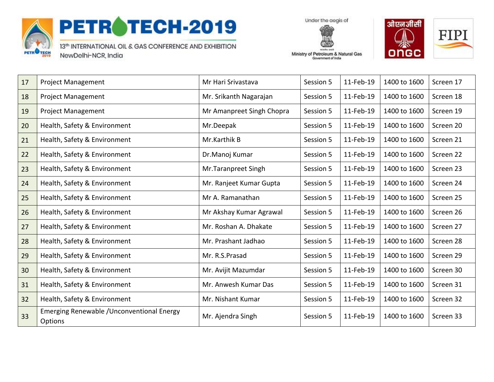

## PETROTECH-2019

13th INTERNATIONAL OIL & GAS CONFERENCE AND EXHIBITION NewDelhi-NCR, India

Under the aegis of Ministry of Petroleum & Natural Gas

Government of India



| 17 | <b>Project Management</b>                                           | Mr Hari Srivastava        | Session 5 | 11-Feb-19 | 1400 to 1600 | Screen 17 |
|----|---------------------------------------------------------------------|---------------------------|-----------|-----------|--------------|-----------|
| 18 | <b>Project Management</b>                                           | Mr. Srikanth Nagarajan    | Session 5 | 11-Feb-19 | 1400 to 1600 | Screen 18 |
| 19 | <b>Project Management</b>                                           | Mr Amanpreet Singh Chopra | Session 5 | 11-Feb-19 | 1400 to 1600 | Screen 19 |
| 20 | Health, Safety & Environment                                        | Mr.Deepak                 | Session 5 | 11-Feb-19 | 1400 to 1600 | Screen 20 |
| 21 | Health, Safety & Environment                                        | Mr.Karthik B              | Session 5 | 11-Feb-19 | 1400 to 1600 | Screen 21 |
| 22 | Health, Safety & Environment                                        | Dr.Manoj Kumar            | Session 5 | 11-Feb-19 | 1400 to 1600 | Screen 22 |
| 23 | Health, Safety & Environment                                        | Mr.Taranpreet Singh       | Session 5 | 11-Feb-19 | 1400 to 1600 | Screen 23 |
| 24 | Health, Safety & Environment                                        | Mr. Ranjeet Kumar Gupta   | Session 5 | 11-Feb-19 | 1400 to 1600 | Screen 24 |
| 25 | Health, Safety & Environment                                        | Mr A. Ramanathan          | Session 5 | 11-Feb-19 | 1400 to 1600 | Screen 25 |
| 26 | Health, Safety & Environment                                        | Mr Akshay Kumar Agrawal   | Session 5 | 11-Feb-19 | 1400 to 1600 | Screen 26 |
| 27 | Health, Safety & Environment                                        | Mr. Roshan A. Dhakate     | Session 5 | 11-Feb-19 | 1400 to 1600 | Screen 27 |
| 28 | Health, Safety & Environment                                        | Mr. Prashant Jadhao       | Session 5 | 11-Feb-19 | 1400 to 1600 | Screen 28 |
| 29 | Health, Safety & Environment                                        | Mr. R.S.Prasad            | Session 5 | 11-Feb-19 | 1400 to 1600 | Screen 29 |
| 30 | Health, Safety & Environment                                        | Mr. Avijit Mazumdar       | Session 5 | 11-Feb-19 | 1400 to 1600 | Screen 30 |
| 31 | Health, Safety & Environment                                        | Mr. Anwesh Kumar Das      | Session 5 | 11-Feb-19 | 1400 to 1600 | Screen 31 |
| 32 | Health, Safety & Environment                                        | Mr. Nishant Kumar         | Session 5 | 11-Feb-19 | 1400 to 1600 | Screen 32 |
| 33 | <b>Emerging Renewable / Unconventional Energy</b><br><b>Options</b> | Mr. Ajendra Singh         | Session 5 | 11-Feb-19 | 1400 to 1600 | Screen 33 |